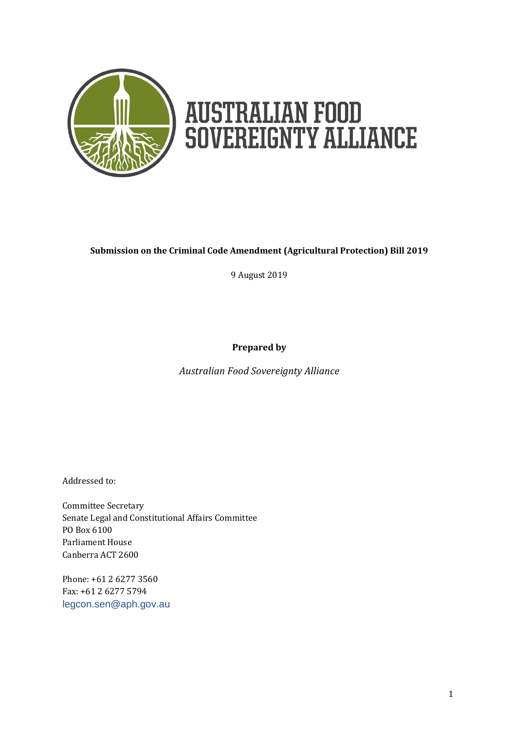

# **AUSTRALIAN FOOD<br>SOVEREIGNTY ALLIANCE**

#### **Submission on the Criminal Code Amendment (Agricultural Protection) Bill 2019**

9 August 2019

**Prepared by**

*Australian Food Sovereignty Alliance*

Addressed to:

Committee Secretary Senate Legal and Constitutional Affairs Committee PO Box 6100 Parliament House Canberra ACT 2600

Phone: +61 2 6277 3560 Fax: +61 2 6277 5794 [legcon.sen@aph.gov.au](mailto:legcon.sen@aph.gov.au)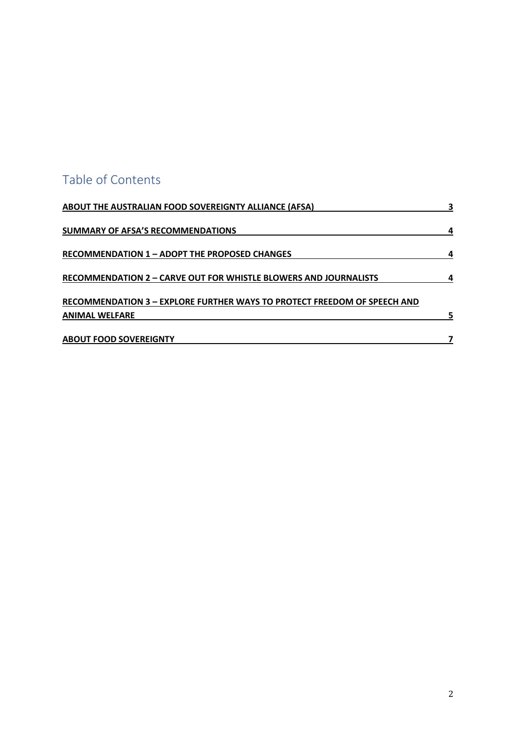## Table of Contents

| ABOUT THE AUSTRALIAN FOOD SOVEREIGNTY ALLIANCE (AFSA)                                             | 3 |
|---------------------------------------------------------------------------------------------------|---|
| SUMMARY OF AFSA'S RECOMMENDATIONS                                                                 | 4 |
| <b>RECOMMENDATION 1 – ADOPT THE PROPOSED CHANGES</b>                                              |   |
| RECOMMENDATION 2 - CARVE OUT FOR WHISTLE BLOWERS AND JOURNALISTS                                  |   |
| RECOMMENDATION 3 - EXPLORE FURTHER WAYS TO PROTECT FREEDOM OF SPEECH AND<br><b>ANIMAL WELFARE</b> |   |
| <b>ABOUT FOOD SOVEREIGNTY</b>                                                                     |   |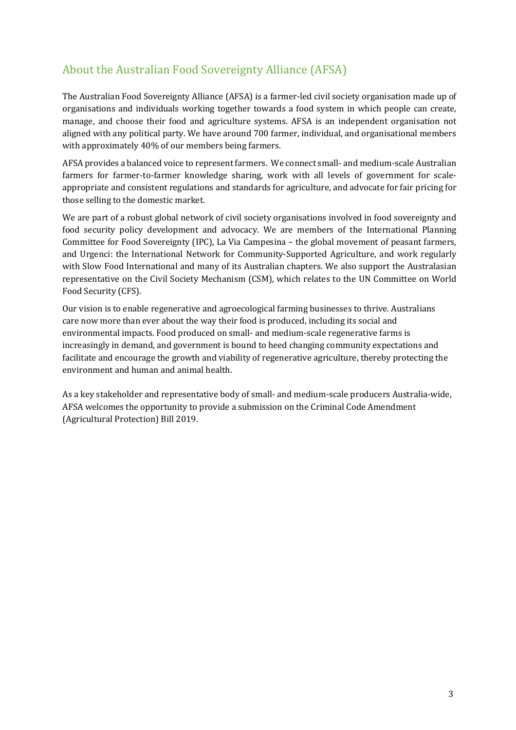### About the Australian Food Sovereignty Alliance (AFSA)

The Australian Food Sovereignty Alliance (AFSA) is a farmer-led civil society organisation made up of organisations and individuals working together towards a food system in which people can create, manage, and choose their food and agriculture systems. AFSA is an independent organisation not aligned with any political party. We have around 700 farmer, individual, and organisational members with approximately 40% of our members being farmers.

AFSA provides a balanced voice to represent farmers. We connect small- and medium-scale Australian farmers for farmer-to-farmer knowledge sharing, work with all levels of government for scaleappropriate and consistent regulations and standards for agriculture, and advocate for fair pricing for those selling to the domestic market.

We are part of a robust global network of civil society organisations involved in food sovereignty and food security policy development and advocacy. We are members of the International Planning Committee for Food Sovereignty (IPC), La Via Campesina – the global movement of peasant farmers, and Urgenci: the International Network for Community-Supported Agriculture, and work regularly with Slow Food International and many of its Australian chapters. We also support the Australasian representative on the Civil Society Mechanism (CSM), which relates to the UN Committee on World Food Security (CFS).

Our vision is to enable regenerative and agroecological farming businesses to thrive. Australians care now more than ever about the way their food is produced, including its social and environmental impacts. Food produced on small- and medium-scale regenerative farms is increasingly in demand, and government is bound to heed changing community expectations and facilitate and encourage the growth and viability of regenerative agriculture, thereby protecting the environment and human and animal health.

As a key stakeholder and representative body of small- and medium-scale producers Australia-wide, AFSA welcomes the opportunity to provide a submission on the Criminal Code Amendment (Agricultural Protection) Bill 2019.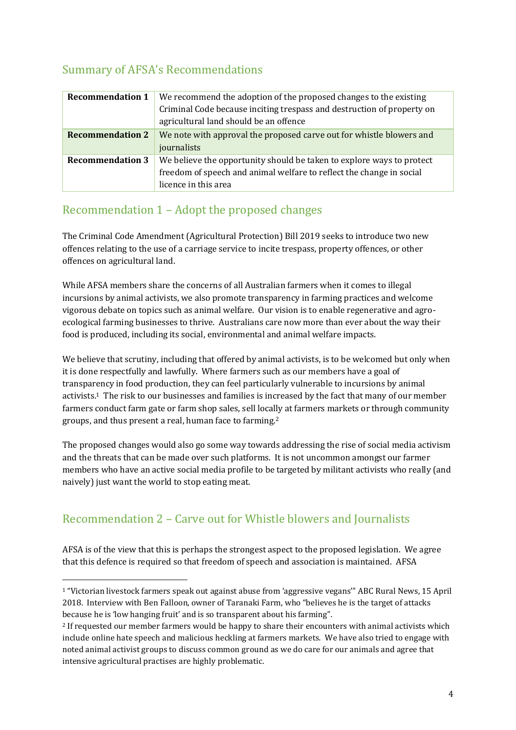#### Summary of AFSA's Recommendations

| <b>Recommendation 1</b> | We recommend the adoption of the proposed changes to the existing<br>Criminal Code because inciting trespass and destruction of property on<br>agricultural land should be an offence |
|-------------------------|---------------------------------------------------------------------------------------------------------------------------------------------------------------------------------------|
| <b>Recommendation 2</b> | We note with approval the proposed carve out for whistle blowers and<br>journalists                                                                                                   |
| <b>Recommendation 3</b> | We believe the opportunity should be taken to explore ways to protect<br>freedom of speech and animal welfare to reflect the change in social<br>licence in this area                 |

#### Recommendation 1 – Adopt the proposed changes

The Criminal Code Amendment (Agricultural Protection) Bill 2019 seeks to introduce two new offences relating to the use of a carriage service to incite trespass, property offences, or other offences on agricultural land.

While AFSA members share the concerns of all Australian farmers when it comes to illegal incursions by animal activists, we also promote transparency in farming practices and welcome vigorous debate on topics such as animal welfare. Our vision is to enable regenerative and agroecological farming businesses to thrive. Australians care now more than ever about the way their food is produced, including its social, environmental and animal welfare impacts.

We believe that scrutiny, including that offered by animal activists, is to be welcomed but only when it is done respectfully and lawfully. Where farmers such as our members have a goal of transparency in food production, they can feel particularly vulnerable to incursions by animal activists.1 The risk to our businesses and families is increased by the fact that many of our member farmers conduct farm gate or farm shop sales, sell locally at farmers markets or through community groups, and thus present a real, human face to farming.<sup>2</sup>

The proposed changes would also go some way towards addressing the rise of social media activism and the threats that can be made over such platforms. It is not uncommon amongst our farmer members who have an active social media profile to be targeted by militant activists who really (and naively) just want the world to stop eating meat.

#### Recommendation 2 – Carve out for Whistle blowers and Journalists

 $\overline{a}$ 

AFSA is of the view that this is perhaps the strongest aspect to the proposed legislation. We agree that this defence is required so that freedom of speech and association is maintained. AFSA

<sup>1</sup> "Victorian livestock farmers speak out against abuse from 'aggressive vegans'" ABC Rural News, 15 April 2018. Interview with Ben Falloon, owner of Taranaki Farm, who "believes he is the target of attacks because he is 'low hanging fruit' and is so transparent about his farming".

<sup>2</sup> If requested our member farmers would be happy to share their encounters with animal activists which include online hate speech and malicious heckling at farmers markets. We have also tried to engage with noted animal activist groups to discuss common ground as we do care for our animals and agree that intensive agricultural practises are highly problematic.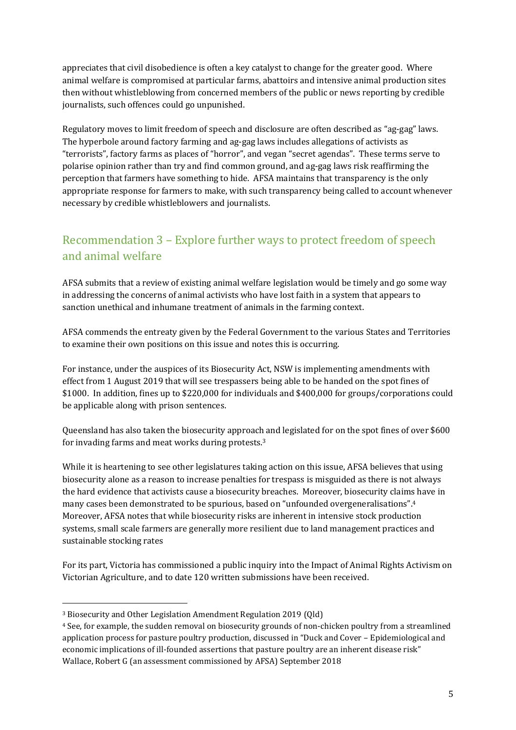appreciates that civil disobedience is often a key catalyst to change for the greater good. Where animal welfare is compromised at particular farms, abattoirs and intensive animal production sites then without whistleblowing from concerned members of the public or news reporting by credible journalists, such offences could go unpunished.

Regulatory moves to limit freedom of speech and disclosure are often described as "ag-gag" laws. The hyperbole around factory farming and ag-gag laws includes allegations of activists as "terrorists", factory farms as places of "horror", and vegan "secret agendas". These terms serve to polarise opinion rather than try and find common ground, and ag-gag laws risk reaffirming the perception that farmers have something to hide. AFSA maintains that transparency is the only appropriate response for farmers to make, with such transparency being called to account whenever necessary by credible whistleblowers and journalists.

### Recommendation 3 – Explore further ways to protect freedom of speech and animal welfare

AFSA submits that a review of existing animal welfare legislation would be timely and go some way in addressing the concerns of animal activists who have lost faith in a system that appears to sanction unethical and inhumane treatment of animals in the farming context.

AFSA commends the entreaty given by the Federal Government to the various States and Territories to examine their own positions on this issue and notes this is occurring.

For instance, under the auspices of its Biosecurity Act, NSW is implementing amendments with effect from 1 August 2019 that will see trespassers being able to be handed on the spot fines of \$1000. In addition, fines up to \$220,000 for individuals and \$400,000 for groups/corporations could be applicable along with prison sentences.

Queensland has also taken the biosecurity approach and legislated for on the spot fines of over \$600 for invading farms and meat works during protests.<sup>3</sup>

While it is heartening to see other legislatures taking action on this issue, AFSA believes that using biosecurity alone as a reason to increase penalties for trespass is misguided as there is not always the hard evidence that activists cause a biosecurity breaches. Moreover, biosecurity claims have in many cases been demonstrated to be spurious, based on "unfounded overgeneralisations".<sup>4</sup> Moreover, AFSA notes that while biosecurity risks are inherent in intensive stock production systems, small scale farmers are generally more resilient due to land management practices and sustainable stocking rates

For its part, Victoria has commissioned a public inquiry into the Impact of Animal Rights Activism on Victorian Agriculture, and to date 120 written submissions have been received.

 $\overline{a}$ 

<sup>3</sup> Biosecurity and Other Legislation Amendment Regulation 2019 (Qld)

<sup>4</sup> See, for example, the sudden removal on biosecurity grounds of non-chicken poultry from a streamlined application process for pasture poultry production, discussed in "Duck and Cover – Epidemiological and economic implications of ill-founded assertions that pasture poultry are an inherent disease risk" Wallace, Robert G (an assessment commissioned by AFSA) September 2018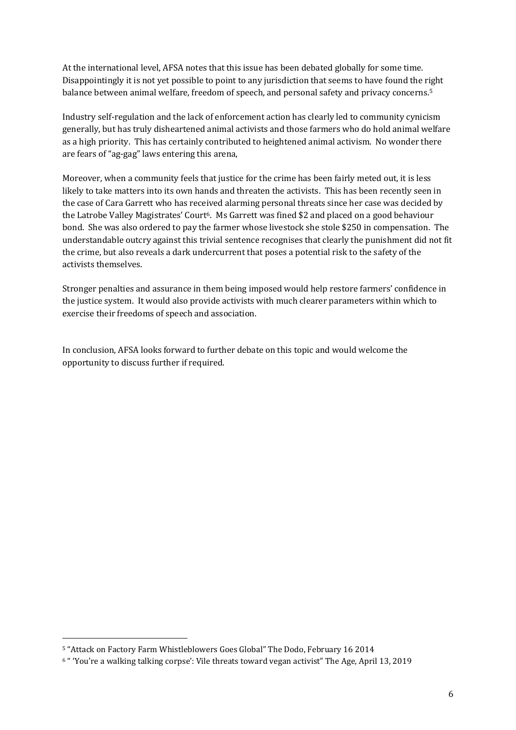At the international level, AFSA notes that this issue has been debated globally for some time. Disappointingly it is not yet possible to point to any jurisdiction that seems to have found the right balance between animal welfare, freedom of speech, and personal safety and privacy concerns.<sup>5</sup>

Industry self-regulation and the lack of enforcement action has clearly led to community cynicism generally, but has truly disheartened animal activists and those farmers who do hold animal welfare as a high priority. This has certainly contributed to heightened animal activism. No wonder there are fears of "ag-gag" laws entering this arena,

Moreover, when a community feels that justice for the crime has been fairly meted out, it is less likely to take matters into its own hands and threaten the activists. This has been recently seen in the case of Cara Garrett who has received alarming personal threats since her case was decided by the Latrobe Valley Magistrates' Court6. Ms Garrett was fined \$2 and placed on a good behaviour bond. She was also ordered to pay the farmer whose livestock she stole \$250 in compensation. The understandable outcry against this trivial sentence recognises that clearly the punishment did not fit the crime, but also reveals a dark undercurrent that poses a potential risk to the safety of the activists themselves.

Stronger penalties and assurance in them being imposed would help restore farmers' confidence in the justice system. It would also provide activists with much clearer parameters within which to exercise their freedoms of speech and association.

In conclusion, AFSA looks forward to further debate on this topic and would welcome the opportunity to discuss further if required.

 $\overline{a}$ 

<sup>5</sup> "Attack on Factory Farm Whistleblowers Goes Global" The Dodo, February 16 2014

<sup>6</sup> " 'You're a walking talking corpse': Vile threats toward vegan activist" The Age, April 13, 2019